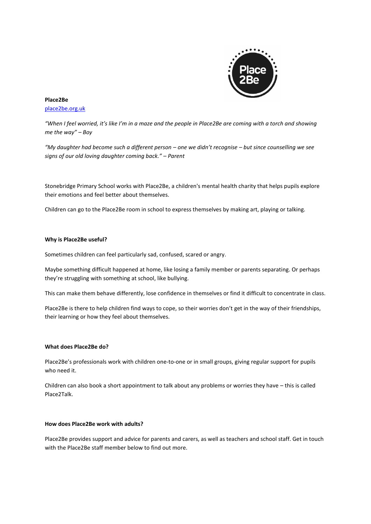

# **Place2Be**

[place2be.org.uk](http://www.place2be.org.uk/)

*"When I feel worried, it's like I'm in a maze and the people in Place2Be are coming with a torch and showing me the way" – Boy*

*"My daughter had become such a different person – one we didn't recognise – but since counselling we see signs of our old loving daughter coming back." – Parent*

Stonebridge Primary School works with Place2Be, a children's mental health charity that helps pupils explore their emotions and feel better about themselves.

Children can go to the Place2Be room in school to express themselves by making art, playing or talking.

## **Why is Place2Be useful?**

Sometimes children can feel particularly sad, confused, scared or angry.

Maybe something difficult happened at home, like losing a family member or parents separating. Or perhaps they're struggling with something at school, like bullying.

This can make them behave differently, lose confidence in themselves or find it difficult to concentrate in class.

Place2Be is there to help children find ways to cope, so their worries don't get in the way of their friendships, their learning or how they feel about themselves.

## **What does Place2Be do?**

Place2Be's professionals work with children one-to-one or in small groups, giving regular support for pupils who need it.

Children can also book a short appointment to talk about any problems or worries they have – this is called Place2Talk.

## **How does Place2Be work with adults?**

Place2Be provides support and advice for parents and carers, as well as teachers and school staff. Get in touch with the Place2Be staff member below to find out more.